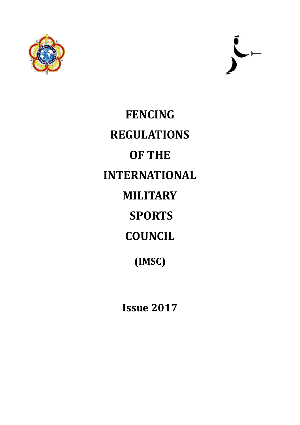



**FENCING REGULATIONS OF THE INTERNATIONAL MILITARY SPORTS COUNCIL (IMSC)**

**Issue 2017**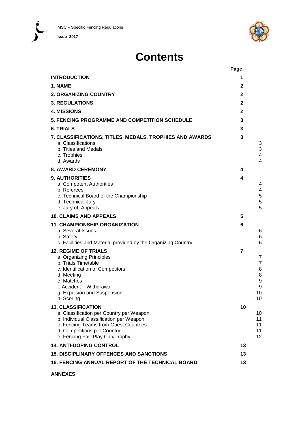**Issue 2017**

 $\sum$ 



# **Contents**

|                                                                                                                                                                                                                             | Page           |                                                     |
|-----------------------------------------------------------------------------------------------------------------------------------------------------------------------------------------------------------------------------|----------------|-----------------------------------------------------|
| <b>INTRODUCTION</b>                                                                                                                                                                                                         | 1              |                                                     |
| 1. NAME                                                                                                                                                                                                                     | 2              |                                                     |
| <b>2. ORGANIZING COUNTRY</b>                                                                                                                                                                                                | $\mathbf{2}$   |                                                     |
| <b>3. REGULATIONS</b>                                                                                                                                                                                                       | $\mathbf{2}$   |                                                     |
| <b>4. MISSIONS</b>                                                                                                                                                                                                          | $\mathbf{2}$   |                                                     |
| 5. FENCING PROGRAMME AND COMPETITION SCHEDULE                                                                                                                                                                               | 3              |                                                     |
| <b>6. TRIALS</b>                                                                                                                                                                                                            | 3              |                                                     |
| 7. CLASSIFICATIONS, TITLES, MEDALS, TROPHIES AND AWARDS<br>a. Classifications<br>b. Titles and Medals<br>c. Trophies<br>d. Awards                                                                                           | 3              | 3<br>3<br>4<br>4                                    |
| <b>8. AWARD CEREMONY</b>                                                                                                                                                                                                    | 4              |                                                     |
| 9. AUTHORITIES<br>a. Competent Authorities<br>b. Referees<br>c. Technical Board of the Championship<br>d. Technical Jury<br>e. Jury of Appeals                                                                              | 4              | 4<br>4<br>5<br>5<br>5                               |
| <b>10. CLAIMS AND APPEALS</b>                                                                                                                                                                                               | 5              |                                                     |
| <b>11. CHAMPIONSHIP ORGANIZATION</b><br>a. Several Issues<br>b. Safety<br>c. Facilities and Material provided by the Organizing Country                                                                                     | 6              | 6<br>6<br>6                                         |
| <b>12. REGIME OF TRIALS</b><br>a. Organizing Principles<br>b. Trials Timetable<br>c. Identification of Competitors<br>d. Meeting<br>e. Matches<br>f. Accident - Withdrawal<br>g. Expulsion and Suspension<br>h. Scoring     | $\overline{7}$ | 7<br>$\overline{7}$<br>8<br>8<br>9<br>9<br>10<br>10 |
| <b>13. CLASSIFICATION</b><br>a. Classification per Country per Weapon<br>b. Individual Classification per Weapon<br>c. Fencing Teams from Guest Countries<br>d. Competitions per Country<br>e. Fencing Fair-Play Cup/Trophy | 10             | 10<br>11<br>11<br>11<br>12                          |
| <b>14. ANTI-DOPING CONTROL</b>                                                                                                                                                                                              | 13             |                                                     |
| <b>15. DISCIPLINARY OFFENCES AND SANCTIONS</b>                                                                                                                                                                              | 13             |                                                     |
| <b>16. FENCING ANNUAL REPORT OF THE TECHNICAL BOARD</b>                                                                                                                                                                     | 13             |                                                     |

**ANNEXES**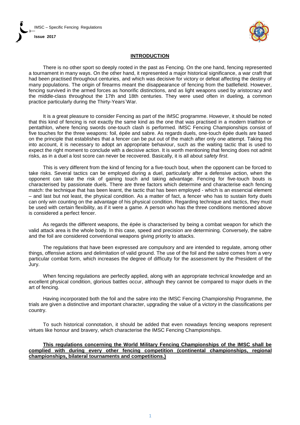IMSC – Specific Fencing Regulations **Issue 2017**



## **INTRODUCTION**

There is no other sport so deeply rooted in the past as Fencing. On the one hand, fencing represented a tournament in many ways. On the other hand, it represented a major historical significance, a war craft that had been practised throughout centuries, and which was decisive for victory or defeat affecting the destiny of many populations. The origin of firearms meant the disappearance of fencing from the batllefield. However, fencing survived in the armed forces as honorific distinctions, and as light weapons used by aristocracy and the middle-class throughout the 17th and 18th centuries. They were used often in dueling, a common practice particularly during the Thirty-Years´War.

It is a great pleasure to consider Fencing as part of the IMSC programme. However, it should be noted that this kind of fencing is not exactly the same kind as the one that was practised in a modern triathlon or pentathlon, where fencing swords one-touch clash is performed. IMSC Fencing Championships consist of five touches for the three weapons: foil, épée and sabre. As regards duels, one-touch épée duels are based on the principle that establishes that a fencer can be put out of the match after only one attempt. Taking this into account, it is necessary to adopt an appropriate behaviour, such as the waiting tactic that is used to expect the right moment to conclude with a decisive action. It is worth mentioning that fencing does not admit risks, as in a duel a lost score can never be recovered. Basically, it is all about *safety first*.

This is very different from the kind of fencing for a five-touch bout, when the opponent can be forced to take risks. Several tactics can be employed during a duel, particularly after a defensive action, when the opponent can take the risk of gaining touch and taking advantage. Fencing for five-touch bouts is characterised by passionate duels. There are three factors which determine and characterise each fencing match: the technique that has been learnt, the tactic that has been employed - which is an essencial element – and last but not least, the physical condition. As a matter of fact, a fencer who has to sustain forty duels can only win counting on the advantage of his physical condition. Regarding technique and tactics, they must be used with certain flexibility, as if it were a game. A person who has the three conditions mentioned above is considered a perfect fencer.

As regards the different weapons, the épée is characterised by being a combat weapon for which the valid attack area is the whole body. In this case, speed and precision are determining. Conversely, the sabre and the foil are considered conventional weapons giving priority to attacks.

The regulations that have been expressed are compulsory and are intended to regulate, among other things, offensive actions and delimitation of valid ground. The use of the foil and the sabre comes from a very particular combat form, which increases the degree of difficulty for the assessment by the President of the Jury.

When fencing regulations are perfectly applied, along with an appropriate technical knowledge and an excellent physical condition, glorious battles occur, although they cannot be compared to major duels in the art of fencing.

Having incorporated both the foil and the sabre into the IMSC Fencing Championship Programme, the trials are given a distinctive and important character, upgrading the value of a victory in the classifications per country.

To such historical connotation, it should be added that even nowadays fencing weapons represent virtues like honour and bravery, which characterise the IMSC Fencing Championships.

### **This regulations concerning the World Military Fencing Championships of the IMSC shall be complied with during every other fencing competition (continental championships, regional championships, bilateral tournaments and competitions.)**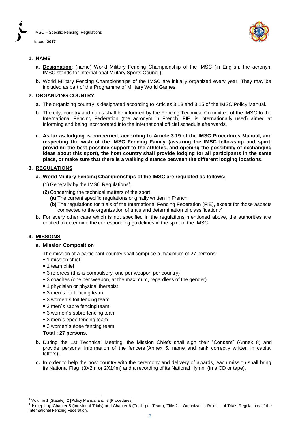



## **1. NAME**

- **a. Designation**: (name) World Military Fencing Championship of the IMSC (in English, the acronym IMSC stands for International Military Sports Council).
- **b.** World Military Fencing Championships of the IMSC are initially organized every year. They may be included as part of the Programme of Military World Games.

## **2. ORGANIZING COUNTRY**

- **a.** The organizing country is designated according to Articles 3.13 and 3.15 of the IMSC Policy Manual.
- **b.** The city, country and dates shall be informed by the Fencing Technical Committee of the IMSC to the International Fencing Federation (the acronym in French, **FIE**, is internationally used) aimed at informing and being incorporated into the international official schedule afterwards.
- **c. As far as lodging is concerned, according to Article 3.19 of the IMSC Procedures Manual, and respecting the wish of the IMSC Fencing Family (assuring the IMSC fellowship and spirit, providing the best possible support to the athletes, and opening the possibility of exchanging ideas about this sport), the host country shall provide lodging for all participants in the same place, or make sure that there is a walking distance between the different lodging locations.**

## **3. REGULATIONS**

- **a. World Military Fencing Championships of the IMSC are regulated as follows:** 
	- **(1)** Generally by the IMSC Regulations<sup>1</sup> ;
	- **(2)** Concerning the technical matters of the sport:
		- **(a)** The current specific regulations originally written in French.
		- **(b)** The regulations for trials of the International Fencing Federation (FIE), except for those aspects connected to the organization of trials and determination of classification. 2
- **b.** For every other case which is not specified in the regulations mentioned above, the authorities are entitled to determine the corresponding guidelines in the spirit of the IMSC.

## **4. MISSIONS**

 $\overline{a}$ 

## **a. Mission Composition**

The mission of a participant country shall comprise a maximum of 27 persons:

- **1** mission chief
- 1 team chief
- 3 referees (this is compulsory: one per weapon per country)
- **3** coaches (one per weapon, at the maximum, regardless of the gender)
- **1** phycisian or physical therapist
- 3 men's foil fencing team
- 3 women's foil fencing team
- 3 men's sabre fencing team
- **3** women's sabre fencing team
- 3 men´s épée fencing team
- 3 women's épée fencing team

**Total : 27 persons.**

- **b.** During the 1st Technical Meeting, the Mission Chiefs shall sign their "Consent" (Annex 8) and provide personal information of the fencers (Annex 5, name and rank correctly written in capital letters).
- **c.** In order to help the host country with the ceremony and delivery of awards, each mission shall bring its National Flag (3X2m or 2X14m) and a recording of its National Hymn (in a CD or tape).

<sup>&</sup>lt;sup>1</sup> Volume 1 [Statute], 2 [Policy Manual and 3 [Procedures]

 $2$  Excepting Chapter 5 (Individual Trials) and Chapter 6 (Trials per Team), Title  $2$  – Organization Rules – of Trials Regulations of the International Fencing Federation.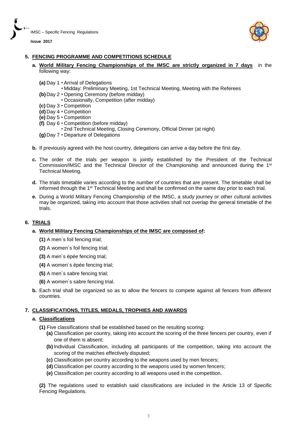



## **5. FENCING PROGRAMME AND COMPETITIONS SCHEDULE**

- **a. World Military Fencing Championships of the IMSC are strictly organized in 7 days** in the following way:
	- **(a)** Day 1 **∙** Arrival of Delegations
		- **∙** Midday: Preliminary Meeting, 1st Technical Meeting, Meeting with the Referees
	- **(b)** Day 2 **∙** Opening Ceremony (before midday)
		- **∙** Occasionally, Competition (after midday)
	- **(c)** Day 3 **∙** Competition
	- **(d)** Day 4 **∙** Competition
	- **(e)** Day 5 **∙** Competition
	- **(f)** Day 6 **∙** Competition (before midday)
		- **∙** 2nd Technical Meeting, Closing Ceremony, Official Dinner (at night)
	- **(g)** Day 7 **∙** Departure of Delegations
- **b.** If previously agreed with the host country, delegations can arrive a day before the first day.
- **c.** The order of the trials per weapon is jointly established by the President of the Technical Commission/IMSC and the Technical Director of the Championship and announced during the 1st Technical Meeting.
- **d.** The trials timetable varies according to the number of countries that are present. The timetable shall be informed through the 1st Technical Meeting and shall be confirmed on the same day prior to each trial.
- **e.** During a World Military Fencing Championship of the IMSC, a study journey or other cultural activities may be organized, taking into account that those activities shall not overlap the general timetable of the trials.

## **6. TRIALS**

## **a. World Military Fencing Championships of the IMSC are composed of:**

- **(1)** A men´s foil fencing trial;
- **(2)** A women´s foil fencing trial;
- **(3)** A men´s épée fencing trial;
- **(4)** A women´s épée fencing trial;
- **(5)** A men´s sabre fencing trial;
- **(6)** A women´s sabre fencing trial.
- **b.** Each trial shall be organized so as to allow the fencers to compete against all fencers from different countries.

## **7. CLASSIFICATIONS, TITLES, MEDALS, TROPHIES AND AWARDS**

## **a. Classifications**

- **(1)** Five classifications shall be established based on the resulting scoring:
	- **(a)** Classification per country, taking into account the scoring of the three fencers per country, even if one of them is absent;
	- **(b)** Individual Classification, including all participants of the competition, taking into account the scoring of the matches effectively disputed;
	- **(c)** Classification per country according to the weapons used by men fencers;
	- **(d)** Classification per country according to the weapons used by women fencers;
	- **(e)** Classification per country according to all weapons used in the competition.

**(2)** The regulations used to establish said classifications are included in the Article 13 of Specific Fencing Regulations.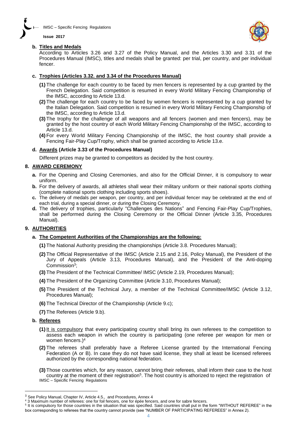



## **b. Titles and Medals**

According to Articles 3.26 and 3.27 of the Policy Manual, and the Articles 3.30 and 3.31 of the Procedures Manual (IMSC), titles and medals shall be granted: per trial, per country, and per individual fencer.

## **c. Trophies (Articles 3.32. and 3.34 of the Procedures Manual)**

- **(1)** The challenge for each country to be faced by men fencers is represented by a cup granted by the French Delegation. Said competition is resumed in every World Military Fencing Championship of the IMSC, according to Article 13.d.
- **(2)** The challenge for each country to be faced by women fencers is represented by a cup granted by the Italian Delegation. Said competition is resumed in every World Military Fencing Championship of the IMSC, according to Article 13.d.
- **(3)** The trophy for the challenge of all weapons and all fencers (women and men fencers), may be granted by the host country of each World Military Fencing Championship of the IMSC, according to Article 13.d.
- **(4)** For every World Military Fencing Championship of the IMSC, the host country shall provide a Fencing Fair-Play Cup/Trophy, which shall be granted according to Article 13.e.

## **d. Awards (Article 3.33 of the Procedures Manual)**

Different prizes may be granted to competitors as decided by the host country.

## **8. AWARD CEREMONY**

- **a.** For the Opening and Closing Ceremonies, and also for the Official Dinner, it is compulsory to wear uniform.
- **b.** For the delivery of awards, all athletes shall wear their military uniform or their national sports clothing (complete national sports clothing including sports shoes).
- **c.** The delivery of medals per weapon, per country, and per individual fencer may be celebrated at the end of each trial, during a special dinner, or during the Closing Ceremony.
- **d.** The delivery of trophies, particularly "Challenges des Nations" and Fencing Fair-Play Cup/Trophies, shall be performed during the Closing Ceremony or the Official Dinner (Article 3.35, Procedures Manual).

## **9. AUTHORITIES**

## **a. The Competent Authorities of the Championships are the following:**

- **(1)** The National Authority presiding the championships (Article 3.8. Procedures Manual);
- **(2)** The Official Representative of the IMSC (Article 2.15 and 2.16, Policy Manual), the President of the Jury of Appeals (Article 3.13, Procedures Manual), and the President of the Anti-doping Commission<sup>3</sup> ;
- **(3)** The President of the Technical Committee/ IMSC (Article 2.19, Procedures Manual);
- **(4)** The President of the Organizing Committee (Article 3.10, Procedures Manual);
- **(5)** The President of the Technical Jury, a member of the Technical Committee/IMSC (Article 3.12, Procedures Manual);
- **(6)** The Technical Director of the Championship (Article 9.c);
- **(7)** The Referees (Article 9.b).

## **b. Referees**

 $\overline{a}$ 

- **(1)** It is compulsory that every participating country shall bring its own referees to the competition to assess each weapon in which the country is participating (one referee per weapon for men or women fencers.)<sup>4</sup>
- **(2)** The referees shall preferably have a Referee License granted by the International Fencing Federation (A or B). In case they do not have said license, they shall at least be licensed referees authorized by the corresponding national federation.
- **(3)** Those countries which, for any reason, cannot bring their referees, shall inform their case to the host country at the moment of their registration<sup>5</sup>. The host country is athorized to reject the registration of IMSC – Specific Fencing Regulations

<sup>5</sup> It is compulsory for those countries in the situation that was specified. Said countries shall put in the form "WITHOUT REFEREE" in the box corresponding to referees that the country cannot provide (see "NUMBER OF PARTICIPATING REFEREES" in Annex 2).

<sup>&</sup>lt;sup>3</sup> See Policy Manual, Chapter IV, Article 4.5., and Procedures, Annex 4

<sup>4</sup> 3 Maximum number of referees: one for foil fencers, one for épée fencers, and one for sabre fencers.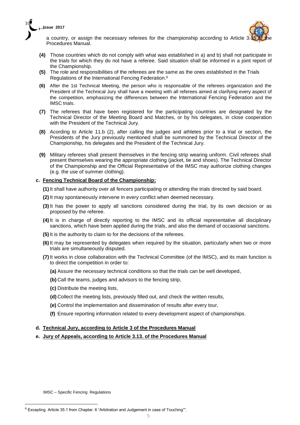



a country, or assign the necessary referees for the championship according to Article 3. Procedures Manual.

- **(4)** Those countries which do not comply with what was established in a) and b) shall not participate in the trials for which they do not have a referee. Said situation shall be informed in a joint report of the Championship.
- **(5)** The role and responsibilities of the referees are the same as the ones established in the Trials Regulations of the International Fencing Federation. 6
- **(6)** After the 1st Technical Meeting, the person who is responsable of the referees organization and the President of the Technical Jury shall have a meeting with all referees aimed at clarifying every aspect of the competition, emphasizing the differences between the International Fencing Federation and the IMSC trials.
- **(7)** The referees that have been registered for the participating countries are designated by the Technical Director of the Meeting Board and Matches, or by his delegates, in close cooperation with the President of the Technical Jury.
- **(8)** Acording to Article 11.b (2), after calling the judges and athletes prior to a trial or section, the Presidents of the Jury previously mentioned shall be summoned by the Technical Director of the Championship, his delegates and the President of the Technical Jury.
- **(9)** Military referees shall present themselves in the fencing strip wearing uniform. Civil referees shall present themselves wearing the appropriate clothing (jacket, tie and shoes). The Technical Director of the Championship and the Official Representative of the IMSC may authorize clothing changes (e.g. the use of summer clothing).

## **c. Fencing Technical Board of the Championship:**

**(1)** It shall have authority over all fencers participating or attending the trials directed by said board.

- **(2)** It may spontaneously intervene in every conflict when deemed necessary.
- **(3)** It has the power to apply all sanctions considered during the trial, by its own decision or as proposed by the referee.
- **(4)** It is in charge of directly reporting to the IMSC and its official representative all disciplinary sanctions, which have been applied during the trials, and also the demand of occasional sanctions.
- **(5)** It is the authority to claim to for the decisions of the referees.
- **(6)** It may be represented by delegates when required by the situation, particularly when two or more trials are simultaneously disputed.
- **(7)** It works in close collaboration with the Technical Committee (of the IMSC), and its main function is to direct the competition in order to:
	- **(a)** Assure the necessary technical conditions so that the trials can be well developed,
	- **(b)** Call the teams, judges and advisors to the fencing strip,
	- **(c)** Distribute the meeting lists,
	- **(d)** Collect the meeting lists, previously filled out, and check the written results,
	- **(e)** Control the implementation and dissemination of results after every tour,
	- **(f)** Ensure reporting information related to every development aspect of championships.

#### **d. Technical Jury, according to Article 3 of the Procedures Manual**

**e. Jury of Appeals, according to Article 3.13. of the Procedures Manual**

IMSC – Specific Fencing Regulations

 $\overline{a}$ 

<sup>6</sup> Excepting Article 35.1 from Chapter. 6 "Arbitration and Judgement in case of Touching"".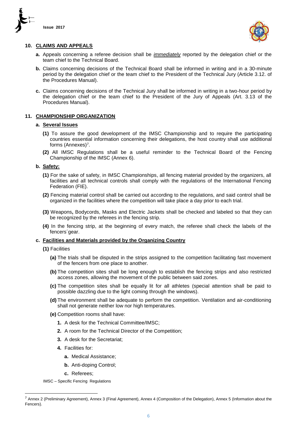



#### **10. CLAIMS AND APPEALS**

- **a.** Appeals concerning a referee decision shall be *immediately* reported by the delegation chief or the team chief to the Technical Board.
- **b.** Claims concerning decisions of the Technical Board shall be informed in writing and in a 30-minute period by the delegation chief or the team chief to the President of the Technical Jury (Article 3.12. of the Procedures Manual).
- **c.** Claims concerning decisions of the Technical Jury shall be informed in writing in a two-hour period by the delegation chief or the team chief to the President of the Jury of Appeals (Art. 3.13 of the Procedures Manual).

## **11. CHAMPIONSHIP ORGANIZATION**

#### **a. Several Issues**

- **(1)** To assure the good development of the IMSC Championship and to require the participating countries essential information concerning their delegations, the host country shall use additional forms (Annexes)<sup>7</sup> .
- **(2)** All IMSC Regulations shall be a useful reminder to the Technical Board of the Fencing Championship of the IMSC (Annex 6).

## **b. Safety:**

- **(1)** For the sake of safety, in IMSC Championships, all fencing material provided by the organizers, all facilities and all technical controls shall comply with the regulations of the International Fencing Federation (FIE).
- **(2)** Fencing material control shall be carried out according to the regulations, and said control shall be organized in the facilities where the competition will take place a day prior to each trial.
- **(3)** Weapons**,** Bodycords, Masks and Electric Jackets shall be checked and labeled so that they can be recognized by the referees in the fencing strip.
- **(4)** In the fencing strip, at the beginning of every match, the referee shall check the labels of the fencers´gear.

#### **c. Facilities and Materials provided by the Organizing Country**

- **(1)** Facilities
	- **(a)** The trials shall be disputed in the strips assigned to the competition facilitating fast movement of the fencers from one place to another.
	- **(b)** The competition sites shall be long enough to establish the fencing strips and also restricted access zones, allowing the movement of the public between said zones.
	- **(c)** The competition sites shall be equally lit for all athletes (special attention shall be paid to possible dazzling due to the light coming through the windows).
	- **(d)** The environment shall be adequate to perform the competition. Ventilation and air-conditioning shall not generate neither low nor high temperatures.
	- **(e)** Competition rooms shall have:
		- **1.** A desk for the Technical Committee/IMSC;
		- **2.** A room for the Technical Director of the Competition;
		- **3.** A desk for the Secretariat;
		- **4.** Facilities for:
			- **a.** Medical Assistance;
			- **b.** Anti-doping Control;
			- **c.** Referees;

IMSC – Specific Fencing Regulations

 $\overline{a}$ 

 $^7$  Annex 2 (Preliminary Agreement), Annex 3 (Final Agreement), Annex 4 (Composition of the Delegation), Annex 5 (Information about the Fencers).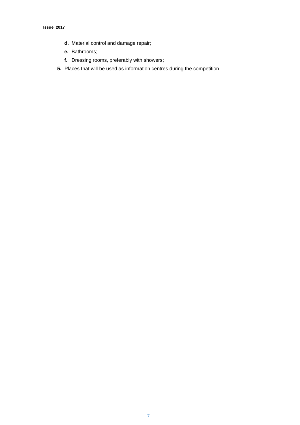- **d.** Material control and damage repair;
- **e.** Bathrooms;
- **f.** Dressing rooms, preferably with showers;
- **5.** Places that will be used as information centres during the competition.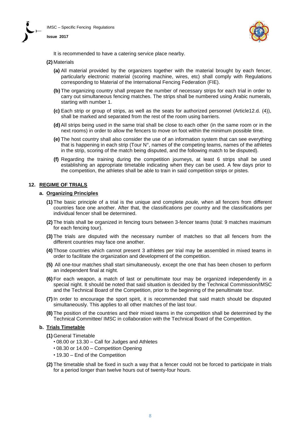

**Issue 2017**



It is recommended to have a catering service place nearby.

#### **(2)** Materials

- **(a)** All material provided by the organizers together with the material brought by each fencer, particularly electronic material (scoring machine, wires, etc) shall comply with Regulations corresponding to Material of the International Fencing Federation (FIE).
- **(b)** The organizing country shall prepare the number of necessary strips for each trial in order to carry out simultaneous fencing matches. The strips shall be numbered using Arabic numerals, starting with number 1.
- **(c)** Each strip or group of strips, as well as the seats for authorized personnel (Article12.d. (4)), shall be marked and separated from the rest of the room using barriers.
- **(d)** All strips being used in the same trial shall be close to each other (in the same room or in the next rooms) in order to allow the fencers to move on foot within the minimum possible time.
- **(e)** The host country shall also consider the use of an information system that can see everything that is happening in each strip (Tour  $N^{\circ}$ , names of the competing teams, names of the athletes in the strip, scoring of the match being disputed, and the following match to be disputed).
- **(f)** Regarding the training during the competition journeys, at least 6 strips shall be used establishing an appropriate timetable indicating when they can be used. A few days prior to the competition, the athletes shall be able to train in said competition strips or pistes.

## **12. REGIME OF TRIALS**

#### **a. Organizing Principles**

- **(1)** The basic principle of a trial is the unique and complete *poule,* when all fencers from different countries face one another. After that, the classifications per country and the classifications per individual fencer shall be determined.
- **(2)** The trials shall be organized in fencing tours between 3-fencer teams (total: 9 matches maximum for each fencing tour).
- **(3)** The trials are disputed with the necessary number of matches so that all fencers from the different countries may face one another.
- **(4)** Those countries which cannot present 3 athletes per trial may be assembled in mixed teams in order to facilitate the organization and development of the competition.
- **(5)** All one-tour matches shall start simultaneously, except the one that has been chosen to perform an independent final at night.
- **(6)** For each weapon, a match of last or penultimate tour may be organized independently in a special night. It should be noted that said situation is decided by the Technical Commission/IMSC and the Technical Board of the Competition, prior to the beginning of the penultimate tour.
- **(7)** In order to encourage the sport spirit, it is recommended that said match should be disputed simultaneously. This applies to all other matches of the last tour.
- **(8)** The position of the countries and their mixed teams in the competition shall be determined by the Technical Committee/ IMSC in collaboration with the Technical Board of the Competition.

#### **b. Trials Timetable**

**(1)** General Timetable

- **∙** 08.00 or 13.30 Call for Judges and Athletes
- **∙** 08.30 or 14.00 Competition Opening
- **∙** 19.30 End of the Competition
- **(2)** The timetable shall be fixed in such a way that a fencer could not be forced to participate in trials for a period longer than twelve hours out of twenty-four hours.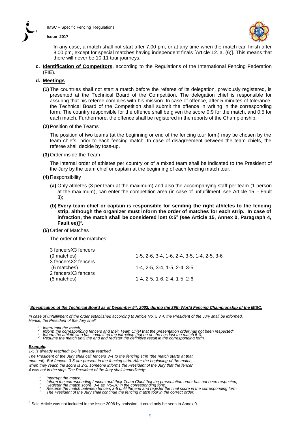

#### **Issue 2017**



In any case, a match shall not start after 7.00 pm, or at any time when the match can finish after 8.00 pm, except for special matches having independent finals [Article 12. a. (6)]. This means that there will never be 10-11 tour journeys.

**c. Identification of Competitors**, according to the Regulations of the International Fencing Federation (FIE).

#### **d. Meetings**

**(1)** The countries shall not start a match before the referee of its delegation, previously registered, is presented at the Technical Board of the Competition. The delegation chief is responsible for assuring that his referee complies with his mission. In case of offence, after 5 minutes of tolerance, the Technical Board of the Competition shall submit the offence in writing in the corresponding form. The country responsible for the offence shall be given the score 0:9 for the match, and 0:5 for each match. Furthermore, the offence shall be registered in the reports of the Championship.

#### **(2)**Position of the Teams

The position of two teams (at the beginning or end of the fencing tour form) may be chosen by the team chiefs prior to each fencing match. In case of disagreement between the team chiefs, the referee shall decide by toss-up.

**(3)** Order inside the Team

The internal order of athletes per country or of a mixed team shall be indicated to the President of the Jury by the team chief or captain at the beginning of each fencing match tour.

- **(4)** Responsibility
	- **(a)** Only athletes (3 per team at the maximum) and also the accompanying staff per team (1 person at the maximum), can enter the competition area (in case of unfulfilment, see Article 15. - Fault 3);
	- **(b) Every team chief or captain is responsible for sending the right athletes to the fencing strip, although the organizer must inform the order of matches for each strip. In case of infraction, the match shall be considered lost 0:5<sup>8</sup> (see Article 15, Annex 0, Paragraph 4, Fault ee)]<sup>9</sup> .**

**(5)** Order of Matches

The order of the matches:

| 3 fencers X3 fencers |                                             |
|----------------------|---------------------------------------------|
| (9 matches)          | 1-5, 2-6, 3-4, 1-6, 2-4, 3-5, 1-4, 2-5, 3-6 |
| 3 fencers X2 fencers |                                             |
| (6 matches)          | 1-4, 2-5, 3-4, 1-5, 2-4, 3-5                |
| 2 fencers X3 fencers |                                             |
| (6 matches)          | 1-4, 2-5, 1-6, 2-4, 1-5, 2-6                |
|                      |                                             |

<sup>8</sup>*Specification of the Technical Board as of December 5 th, 2003, during the 39th World Fencing Championship of the IMSC:*

*In case of unfulfilment of the order established according to Article No. 5 3 4, the President of the Jury shall be informed. Hence, the President of the Jury shall:* 

- *Interrumpt the match;*
- ∕ Inform the corresponding fencers and their Team Chief that the presentation order has not been respected;<br>∕ Inform the athlete who has committed the infraction that he or she has lost the match 5-0;<br>∕ Resume the match u
- 

#### *Example:*

 $\overline{a}$ 

*1-5 is already reached; 2-6 is already reached.*

*The President of the Jury shall call fencers 3-4 to the fencing strip (the match starts at that moment). But fencers 3-5 are present in the fencing strip. After the beginning of the match, when they reach the score is 2-3, someone informs the President of the Jury that the fencer 4 was not in the strip. The President of the Jury shall immediately:* 

- *Interrupt the match;*
- 
- 
- ໌ Inform the corresponding fencers and their Team Chief that the presentation order has not been respected;<br>ັ Register the match score 3-4 as V5-D0 in the corresponding form;<br>ັ Resume the match between fencers 3-5 until

<sup>&</sup>lt;sup>9</sup> Said Article was not included in the Issue 2006 by omission. It could only be seen in Annex 0.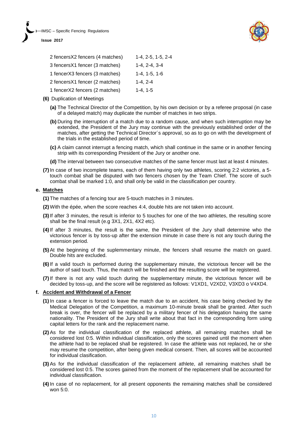



| 2 fencersX2 fencers (4 matches) | $1-4, 2-5, 1-5, 2-4$ |
|---------------------------------|----------------------|
| 3 fencers X1 fencer (3 matches) | $1 - 4.2 - 4.3 - 4$  |
| 1 fencerX3 fencers (3 matches)  | $1-4.1-5.1-6$        |
| 2 fencersX1 fencer (2 matches)  | $1 - 4.2 - 4$        |
| 1 fencerX2 fencers (2 matches)  | $1 - 4.1 - 5$        |

- **(6)** Duplication of Meetings
	- **(a)** The Technical Director of the Competition, by his own decision or by a referee proposal (in case of a delayed match) may duplicate the number of matches in two strips.
	- **(b)** During the interruption of a match due to a random cause, and when such interruption may be extended, the President of the Jury may continue with the previously established order of the matches, after getting the Technical Director´s approval, so as to go on with the development of the trials in the established period of time.
	- **(c)** A claim cannot interrupt a fencing match, which shall continue in the same or in another fencing strip with its corresponding President of the Jury or another one.
	- **(d)** The interval between two consecutive matches of the same fencer must last at least 4 minutes.
- **(7)**In case of two incomplete teams, each of them having only two athletes, scoring 2:2 victories, a 5 touch combat shall be disputed with two fencers chosen by the Team Chief. The score of such combat shall be marked 1:0, and shall only be valid in the classification per country.

#### **e. Matches**

- **(1)** The matches of a fencing tour are 5-touch matches in 3 minutes.
- **(2)** With the épée, when the score reaches 4:4, double hits are not taken into account.
- **(3)**If after 3 minutes, the result is inferior to 5 touches for one of the two athletes, the resulting score shall be the final result (e.g 3X1, 2X1, 4X2 etc).
- **(4)**If after 3 minutes, the result is the same, the President of the Jury shall determine who the victorious fencer is by toss-up after the extension minute in case there is not any touch during the extension period.
- **(5)**At the beginning of the suplemmentary minute, the fencers shall resume the match on guard. Double hits are excluded.
- **(6)**If a valid touch is performed during the supplementary minute, the victorious fencer will be the author of said touch. Thus, the match will be finished and the resulting score will be registered.
- **(7)**If there is not any valid touch during the supplementary minute, the victorious fencer will be decided by toss-up, and the score will be registered as follows: V1XD1, V2XD2, V3XD3 o V4XD4.

#### **f. Accident and Withdrawal of a Fencer**

- **(1)** In case a fencer is forced to leave the match due to an accident, his case being checked by the Medical Delegation of the Competition, a maximum 10-minute break shall be granted. After such break is over, the fencer will be replaced by a military fencer of his delegation having the same nationality. The President of the Jury shall write about that fact in the corresponding form using capital letters for the rank and the replacement name.
- **(2)** As for the individual classification of the replaced athlete, all remaining matches shall be considered lost 0:5. Within individual classification, only the scores gained until the moment when the athlete had to be replaced shall be registered. In case the athlete was not replaced, he or she may resume the competition, after being given medical consent. Then, all scores will be accounted for individual clasification.
- **(3)** As for the individual classification of the replacement athlete, all remaining matches shall be considered lost 0:5. The scores gained from the moment of the replacement shall be accounted for individual classification.
- **(4)** In case of no replacement, for all present opponents the remaining matches shall be considered won 5:0.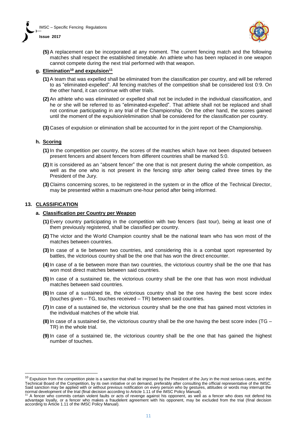



**(5)** A replacement can be incorporated at any moment. The current fencing match and the following matches shall respect the established timetable. An athlete who has been replaced in one weapon cannot compete during the next trial performed with that weapon.

## **g. Elimination<sup>10</sup> and expulsion 11**

- **(1)** A team that was expelled shall be eliminated from the classification per country, and will be referred to as "eliminated-expelled". All fencing matches of the competition shall be considered lost 0:9. On the other hand, it can continue with other trials.
- **(2)** An athlete who was eliminated or expelled shall not be included in the individual classification, and he or she will be referred to as "eliminated-expelled". That athlete shall not be replaced and shall not continue participating in any trial of the Championship. On the other hand, the scores gained until the moment of the expulsion/elimination shall be considered for the classification per country.
- **(3)** Cases of expulsion or elimination shall be accounted for in the joint report of the Championship.

#### **h. Scoring**

- **(1)** In the competition per country, the scores of the matches which have not been disputed between present fencers and absent fencers from different countries shall be marked 5:0.
- **(2)** It is considered as an "absent fencer" the one that is not present during the whole competition, as well as the one who is not present in the fencing strip after being called three times by the President of the Jury.
- **(3)** Claims concerning scores, to be registered in the system or in the office of the Technical Director, may be presented within a maximum one-hour period after being informed.

#### **13. CLASSIFICATION**

 $\overline{a}$ 

#### **a. Classification per Country per Weapon**

- **(1)** Every country participating in the competition with two fencers (last tour), being at least one of them previously registered, shall be classified per country.
- **(2)** The victor and the World Champion country shall be the national team who has won most of the matches between countries.
- **(3)** In case of a tie between two countries, and considering this is a combat sport represented by battles, the victorious country shall be the one that has won the direct encounter.
- **(4)** In case of a tie between more than two countries, the victorious country shall be the one that has won most direct matches between said countries.
- **(5)** In case of a sustained tie, the victorious country shall be the one that has won most individual matches between said countries.
- **(6)** In case of a sustained tie, the victorious country shall be the one having the best score index (touches given – TG, touches received – TR) between said countries.
- **(7)** In case of a sustained tie, the victorious country shall be the one that has gained most victories in the individual matches of the whole trial.
- **(8)** In case of a sustained tie, the victorious country shall be the one having the best score index (TG TR) in the whole trial.
- **(9)** In case of a sustained tie, the victorious country shall be the one that has gained the highest number of touches.

 $10$  Expulsion from the competition piste is a sanction that shall be imposed by the President of the Jury in the most serious cases, and the Technical Board of the Competition, by its own initiative or on demand, preferably after consulting the official representative of the IMSC. Said sanction may be applied with or without previous notification on every person who by gestures, attitudes or words may interrupt the normal development of the trial (final decision according to Article 1.11 of the IMSC Policy Manual).

<sup>11</sup> A fencer who commits certain violent faults or acts of revenge against his opponent, as well as a fencer who does not defend his advantage loyally, or a fencer who makes a fraudelent agreement with his opponent, may be excluded from the trial (final decision according to Article 1.11 of the IMSC Policy Manual).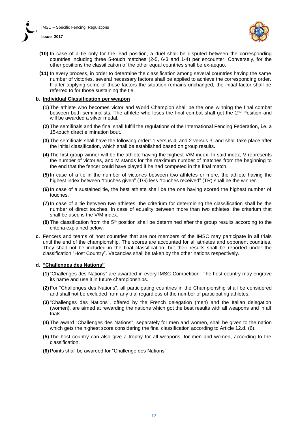



- **(10)** In case of a tie only for the lead position, a duel shall be disputed between the corresponding countries including three 5-touch matches (2-5, 6-3 and 1-4) per encounter. Conversely, for the other positions the classification of the other equal countries shall be ex-aequo.
- **(11)** In every process, in order to determine the classification among several countries having the same number of victories, several necessary factors shall be applied to achieve the corresponding order. If after applying some of those factors the situation remains unchanged, the initial factor shall be referred to for those sustaining the tie.

#### **b. Individual Classification per weapon**

- **(1)** The athlete who becomes victor and World Champion shall be the one winning the final combat between both semifinalists. The athlete who loses the final combat shall get the 2<sup>nd</sup> Position and will be awarded a silver medal.
- **(2)** The semifinals and the final shall fulfill the regulations of the International Fencing Federation, i.e. a 15-touch direct elimination bout.
- **(3)** The semifinals shall have the following order: 1 versus 4, and 2 versus 3; and shall take place after the initial classification, which shall be established based on group results.
- **(4)** The first group winner will be the athlete having the highest V/M index. In said index, V represents the number of victories, and M stands for the maximum number of matches from the beginning to the end that the fencer could have played if he had competed in the final match.
- **(5)** In case of a tie in the number of victories between two athletes or more, the athlete having the highest index between "touches given" (TG) less "touches received" (TR) shall be the winner.
- **(6)** In case of a sustained tie, the best athlete shall be the one having scored the highest number of touches.
- **(7)** In case of a tie between two athletes, the criterium for determining the classification shall be the number of direct touches. In case of equality between more than two athletes, the criterium that shall be used is the V/M index.
- **(8)** The classification from the 5<sup>th</sup> position shall be determined after the group results according to the criteria explained below.
- **c.** Fencers and teams of host countries that are not members of the IMSC may participate in all trials until the end of the championship. The scores are accounted for all athletes and opponent countries. They shall not be included in the final classification, but their results shall be reported under the classification "Host Country". Vacancies shall be taken by the other nations respectively.

#### **d. "Challenges des Nations"**

- **(1)** "Challenges des Nations" are awarded in every IMSC Competition. The host country may engrave its name and use it in future championships.
- **(2)** For "Challenges des Nations", all participating countries in the Championship shall be considered and shall not be excluded from any trial regardless of the number of participating athletes.
- **(3)**"Challenges des Nations", offered by the French delegation (men) and the Italian delegation (women), are aimed at rewarding the nations which got the best results with all weapons and in all trials.
- **(4)** The award "Challenges des Nations", separately for men and women, shall be given to the nation which gets the highest score considering the final classification according to Article 12.d. (6).
- **(5)** The host country can also give a trophy for all weapons, for men and women, according to the classification.
- **(6)** Points shall be awarded for "Challenge des Nations".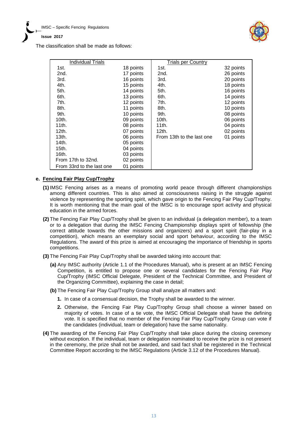

The classification shall be made as follows:

| <b>Individual Trials</b>  |           | <b>Trials per Country</b> |           |
|---------------------------|-----------|---------------------------|-----------|
| 1st.                      | 18 points | 1st.                      | 32 points |
| 2nd.                      | 17 points | 2nd.                      | 26 points |
| 3rd.                      | 16 points | 3rd.                      | 20 points |
| 4th.                      | 15 points | 4th.                      | 18 points |
| 5th.                      | 14 points | 5th.                      | 16 points |
| 6th.                      | 13 points | 6th.                      | 14 points |
| 7th.                      | 12 points | 7th.                      | 12 points |
| 8th.                      | 11 points | 8th.                      | 10 points |
| 9th.                      | 10 points | 9th.                      | 08 points |
| $10th$ .                  | 09 points | 10th.                     | 06 points |
| 11th.                     | 08 points | 11th.                     | 04 points |
| 12th.                     | 07 points | 12th.                     | 02 points |
| $13th$ .                  | 06 points | From 13th to the last one | 01 points |
| 14th.                     | 05 points |                           |           |
| $15$ th.                  | 04 points |                           |           |
| 16th.                     | 03 points |                           |           |
| From 17th to 32nd.        | 02 points |                           |           |
| From 33rd to the last one | 01 points |                           |           |

## **e. Fencing Fair Play Cup/Trophy**

- **(1)** IMSC Fencing arises as a means of promoting world peace through different championships among different countries. This is also aimed at consciousness raising in the struggle against violence by representing the sporting spirit, which gave origin to the Fencing Fair Play Cup/Trophy. It is worth mentioning that the main goal of the IMSC is to encourage sport activity and physical education in the armed forces.
- **(2)** The Fencing Fair Play Cup/Trophy shall be given to an individual (a delegation member), to a team or to a delegation that during the IMSC Fencing Championship displays spirit of fellowship (the correct attitude towards the other missions and organizers) and a sport spirit (fair-play in a competition), which means an exemplary social and sport behaviour, according to the IMSC Regulations. The award of this prize is aimed at encouraging the importance of friendship in sports competitions.
- **(3)** The Fencing Fair Play Cup/Trophy shall be awarded taking into account that:
	- **(a)** Any IMSC authority (Article 1.1 of the Procedures Manual), who is present at an IMSC Fencing Competition, is entitled to propose one or several candidates for the Fencing Fair Play Cup/Trophy (IMSC Official Delegate, President of the Technical Committee, and President of the Organizing Committee), explaining the case in detail;
	- **(b)** The Fencing Fair Play Cup/Trophy Group shall analyze all matters and:
		- **1.** In case of a consensual decision, the Trophy shall be awarded to the winner.
		- **2.** Otherwise, the Fencing Fair Play Cup/Trophy Group shall choose a winner based on majority of votes. In case of a tie vote, the IMSC Official Delegate shall have the defining vote. It is specified that no member of the Fencing Fair Play Cup/Trophy Group can vote if the candidates (individual, team or delegation) have the same nationality.
- **(4)** The awarding of the Fencing Fair Play Cup/Trophy shall take place during the closing ceremony without exception. If the individual, team or delegation nominated to receive the prize is not present in the ceremony, the prize shall not be awarded, and said fact shall be registered in the Technical Committee Report according to the IMSC Regulations (Article 3.12 of the Procedures Manual).